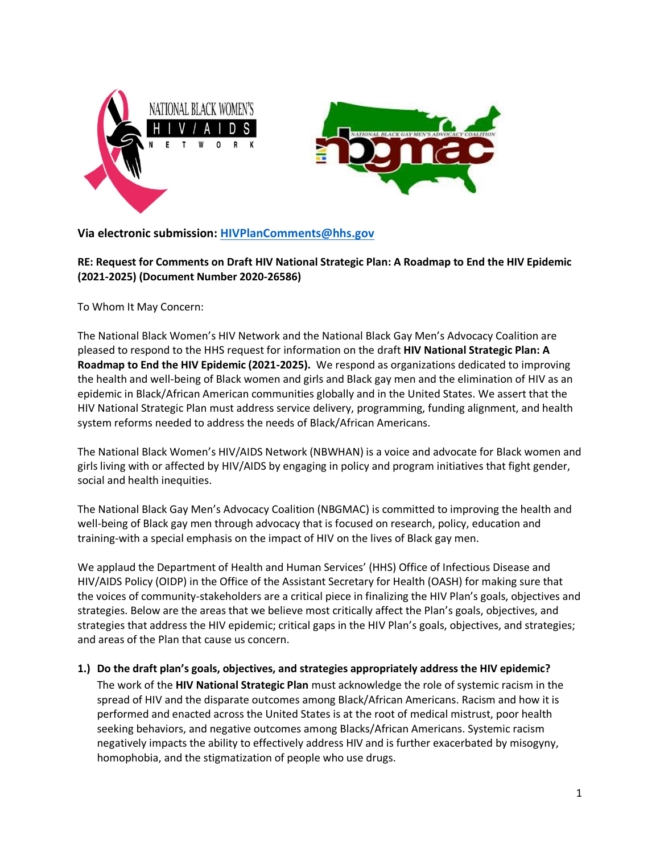



# **Via electronic submission: [HIVPlanComments@hhs.gov](mailto:HIVPlanComments@hhs.gov)**

**RE: Request for Comments on Draft HIV National Strategic Plan: A Roadmap to End the HIV Epidemic (2021-2025) (Document Number 2020-26586)**

To Whom It May Concern:

The National Black Women's HIV Network and the National Black Gay Men's Advocacy Coalition are pleased to respond to the HHS request for information on the draft **HIV National Strategic Plan: A Roadmap to End the HIV Epidemic (2021-2025).** We respond as organizations dedicated to improving the health and well-being of Black women and girls and Black gay men and the elimination of HIV as an epidemic in Black/African American communities globally and in the United States. We assert that the HIV National Strategic Plan must address service delivery, programming, funding alignment, and health system reforms needed to address the needs of Black/African Americans.

The National Black Women's HIV/AIDS Network (NBWHAN) is a voice and advocate for Black women and girls living with or affected by HIV/AIDS by engaging in policy and program initiatives that fight gender, social and health inequities.

The National Black Gay Men's Advocacy Coalition (NBGMAC) is committed to improving the health and well-being of Black gay men through advocacy that is focused on research, policy, education and training-with a special emphasis on the impact of HIV on the lives of Black gay men.

We applaud the Department of Health and Human Services' (HHS) Office of Infectious Disease and HIV/AIDS Policy (OIDP) in the Office of the Assistant Secretary for Health (OASH) for making sure that the voices of community-stakeholders are a critical piece in finalizing the HIV Plan's goals, objectives and strategies. Below are the areas that we believe most critically affect the Plan's goals, objectives, and strategies that address the HIV epidemic; critical gaps in the HIV Plan's goals, objectives, and strategies; and areas of the Plan that cause us concern.

# **1.) Do the draft plan's goals, objectives, and strategies appropriately address the HIV epidemic?**

The work of the **HIV National Strategic Plan** must acknowledge the role of systemic racism in the spread of HIV and the disparate outcomes among Black/African Americans. Racism and how it is performed and enacted across the United States is at the root of medical mistrust, poor health seeking behaviors, and negative outcomes among Blacks/African Americans. Systemic racism negatively impacts the ability to effectively address HIV and is further exacerbated by misogyny, homophobia, and the stigmatization of people who use drugs.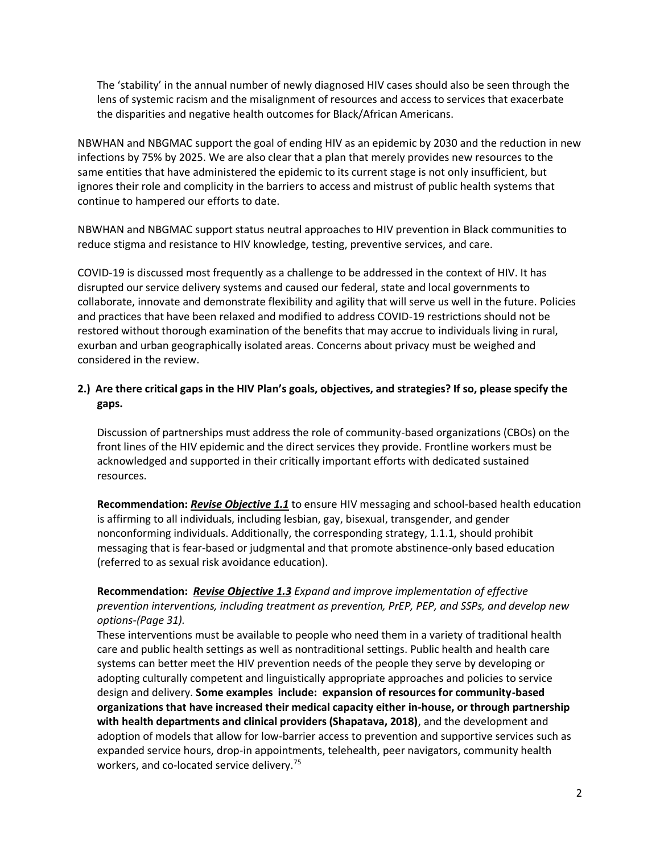The 'stability' in the annual number of newly diagnosed HIV cases should also be seen through the lens of systemic racism and the misalignment of resources and access to services that exacerbate the disparities and negative health outcomes for Black/African Americans.

NBWHAN and NBGMAC support the goal of ending HIV as an epidemic by 2030 and the reduction in new infections by 75% by 2025. We are also clear that a plan that merely provides new resources to the same entities that have administered the epidemic to its current stage is not only insufficient, but ignores their role and complicity in the barriers to access and mistrust of public health systems that continue to hampered our efforts to date.

NBWHAN and NBGMAC support status neutral approaches to HIV prevention in Black communities to reduce stigma and resistance to HIV knowledge, testing, preventive services, and care.

COVID-19 is discussed most frequently as a challenge to be addressed in the context of HIV. It has disrupted our service delivery systems and caused our federal, state and local governments to collaborate, innovate and demonstrate flexibility and agility that will serve us well in the future. Policies and practices that have been relaxed and modified to address COVID-19 restrictions should not be restored without thorough examination of the benefits that may accrue to individuals living in rural, exurban and urban geographically isolated areas. Concerns about privacy must be weighed and considered in the review.

# **2.) Are there critical gaps in the HIV Plan's goals, objectives, and strategies? If so, please specify the gaps.**

Discussion of partnerships must address the role of community-based organizations (CBOs) on the front lines of the HIV epidemic and the direct services they provide. Frontline workers must be acknowledged and supported in their critically important efforts with dedicated sustained resources.

**Recommendation:** *Revise Objective 1.1* to ensure HIV messaging and school-based health education is affirming to all individuals, including lesbian, gay, bisexual, transgender, and gender nonconforming individuals. Additionally, the corresponding strategy, 1.1.1, should prohibit messaging that is fear-based or judgmental and that promote abstinence-only based education (referred to as sexual risk avoidance education).

**Recommendation:** *Revise Objective 1.3 Expand and improve implementation of effective prevention interventions, including treatment as prevention, PrEP, PEP, and SSPs, and develop new options-(Page 31).*

These interventions must be available to people who need them in a variety of traditional health care and public health settings as well as nontraditional settings. Public health and health care systems can better meet the HIV prevention needs of the people they serve by developing or adopting culturally competent and linguistically appropriate approaches and policies to service design and delivery. **Some examples include: expansion of resources for community-based organizations that have increased their medical capacity either in-house, or through partnership with health departments and clinical providers (Shapatava, 2018)**, and the development and adoption of models that allow for low-barrier access to prevention and supportive services such as expanded service hours, drop-in appointments, telehealth, peer navigators, community health workers, and co-located service delivery.<sup>75</sup>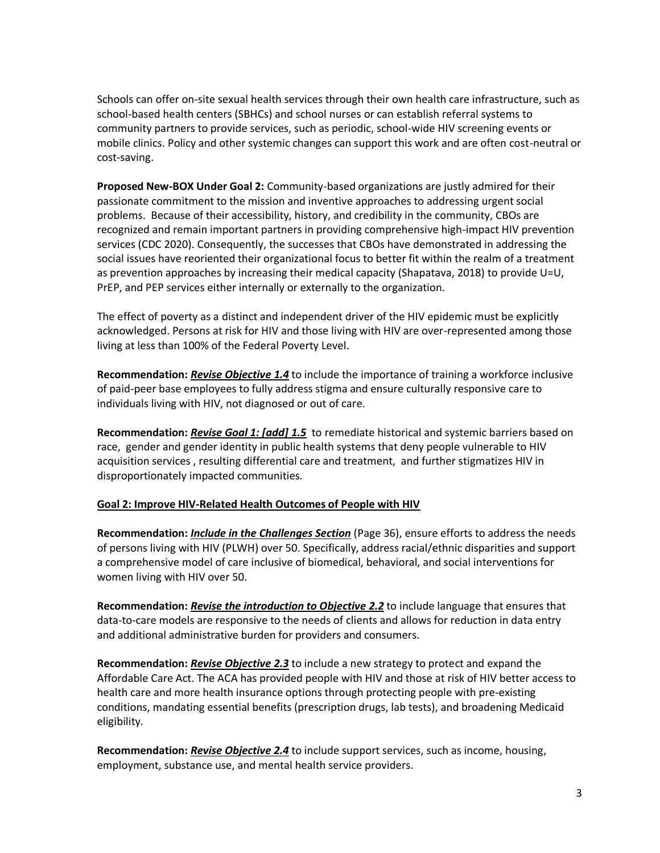Schools can offer on-site sexual health services through their own health care infrastructure, such as school-based health centers (SBHCs) and school nurses or can establish referral systems to community partners to provide services, such as periodic, school-wide HIV screening events or mobile clinics. Policy and other systemic changes can support this work and are often cost-neutral or cost-saving.

**Proposed New-BOX Under Goal 2:** Community-based organizations are justly admired for their passionate commitment to the mission and inventive approaches to addressing urgent social problems. Because of their accessibility, history, and credibility in the community, CBOs are recognized and remain important partners in providing comprehensive high-impact HIV prevention services (CDC 2020). Consequently, the successes that CBOs have demonstrated in addressing the social issues have reoriented their organizational focus to better fit within the realm of a treatment as prevention approaches by increasing their medical capacity (Shapatava, 2018) to provide U=U, PrEP, and PEP services either internally or externally to the organization.

The effect of poverty as a distinct and independent driver of the HIV epidemic must be explicitly acknowledged. Persons at risk for HIV and those living with HIV are over-represented among those living at less than 100% of the Federal Poverty Level.

**Recommendation:** *Revise Objective 1.4* to include the importance of training a workforce inclusive of paid-peer base employees to fully address stigma and ensure culturally responsive care to individuals living with HIV, not diagnosed or out of care.

**Recommendation:** *Revise Goal 1: [add] 1.5* to remediate historical and systemic barriers based on race, gender and gender identity in public health systems that deny people vulnerable to HIV acquisition services , resulting differential care and treatment, and further stigmatizes HIV in disproportionately impacted communities.

## **Goal 2: Improve HIV-Related Health Outcomes of People with HIV**

**Recommendation:** *Include in the Challenges Section* (Page 36), ensure efforts to address the needs of persons living with HIV (PLWH) over 50. Specifically, address racial/ethnic disparities and support a comprehensive model of care inclusive of biomedical, behavioral, and social interventions for women living with HIV over 50.

**Recommendation:** *Revise the introduction to Objective 2.2* to include language that ensures that data-to-care models are responsive to the needs of clients and allows for reduction in data entry and additional administrative burden for providers and consumers.

**Recommendation:** *Revise Objective 2.3* to include a new strategy to protect and expand the Affordable Care Act. The ACA has provided people with HIV and those at risk of HIV better access to health care and more health insurance options through protecting people with pre-existing conditions, mandating essential benefits (prescription drugs, lab tests), and broadening Medicaid eligibility.

**Recommendation:** *Revise Objective 2.4* to include support services, such as income, housing, employment, substance use, and mental health service providers.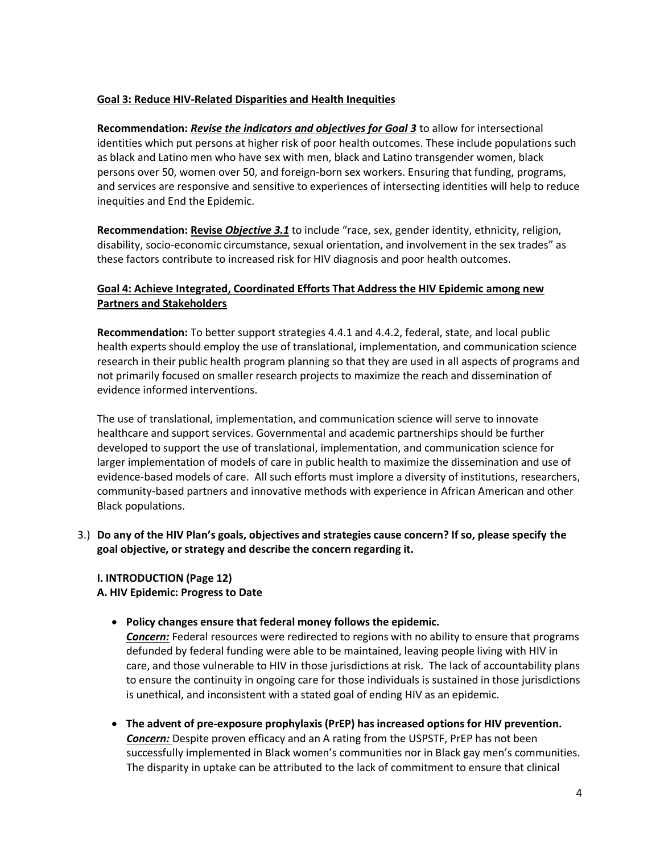## **Goal 3: Reduce HIV-Related Disparities and Health Inequities**

**Recommendation:** *Revise the indicators and objectives for Goal 3* to allow for intersectional identities which put persons at higher risk of poor health outcomes. These include populations such as black and Latino men who have sex with men, black and Latino transgender women, black persons over 50, women over 50, and foreign-born sex workers. Ensuring that funding, programs, and services are responsive and sensitive to experiences of intersecting identities will help to reduce inequities and End the Epidemic.

**Recommendation: Revise** *Objective 3.1* to include "race, sex, gender identity, ethnicity, religion, disability, socio-economic circumstance, sexual orientation, and involvement in the sex trades" as these factors contribute to increased risk for HIV diagnosis and poor health outcomes.

# **Goal 4: Achieve Integrated, Coordinated Efforts That Address the HIV Epidemic among new Partners and Stakeholders**

**Recommendation:** To better support strategies 4.4.1 and 4.4.2, federal, state, and local public health experts should employ the use of translational, implementation, and communication science research in their public health program planning so that they are used in all aspects of programs and not primarily focused on smaller research projects to maximize the reach and dissemination of evidence informed interventions.

The use of translational, implementation, and communication science will serve to innovate healthcare and support services. Governmental and academic partnerships should be further developed to support the use of translational, implementation, and communication science for larger implementation of models of care in public health to maximize the dissemination and use of evidence-based models of care. All such efforts must implore a diversity of institutions, researchers, community-based partners and innovative methods with experience in African American and other Black populations.

3.) **Do any of the HIV Plan's goals, objectives and strategies cause concern? If so, please specify the goal objective, or strategy and describe the concern regarding it.** 

### **I. INTRODUCTION (Page 12) A. HIV Epidemic: Progress to Date**

• **Policy changes ensure that federal money follows the epidemic.**

*Concern:* Federal resources were redirected to regions with no ability to ensure that programs defunded by federal funding were able to be maintained, leaving people living with HIV in care, and those vulnerable to HIV in those jurisdictions at risk. The lack of accountability plans to ensure the continuity in ongoing care for those individuals is sustained in those jurisdictions is unethical, and inconsistent with a stated goal of ending HIV as an epidemic.

• **The advent of pre-exposure prophylaxis (PrEP) has increased options for HIV prevention.**  *Concern:* Despite proven efficacy and an A rating from the USPSTF, PrEP has not been successfully implemented in Black women's communities nor in Black gay men's communities. The disparity in uptake can be attributed to the lack of commitment to ensure that clinical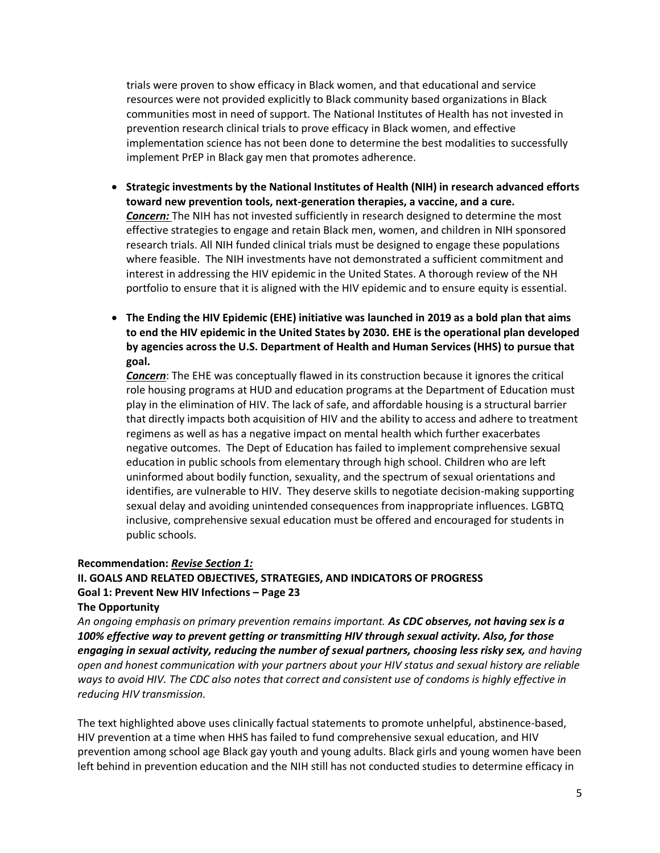trials were proven to show efficacy in Black women, and that educational and service resources were not provided explicitly to Black community based organizations in Black communities most in need of support. The National Institutes of Health has not invested in prevention research clinical trials to prove efficacy in Black women, and effective implementation science has not been done to determine the best modalities to successfully implement PrEP in Black gay men that promotes adherence.

- **Strategic investments by the National Institutes of Health (NIH) in research advanced efforts toward new prevention tools, next-generation therapies, a vaccine, and a cure.**  *Concern:* The NIH has not invested sufficiently in research designed to determine the most effective strategies to engage and retain Black men, women, and children in NIH sponsored research trials. All NIH funded clinical trials must be designed to engage these populations where feasible. The NIH investments have not demonstrated a sufficient commitment and interest in addressing the HIV epidemic in the United States. A thorough review of the NH portfolio to ensure that it is aligned with the HIV epidemic and to ensure equity is essential.
- **The Ending the HIV Epidemic (EHE) initiative was launched in 2019 as a bold plan that aims to end the HIV epidemic in the United States by 2030. EHE is the operational plan developed by agencies across the U.S. Department of Health and Human Services (HHS) to pursue that goal.**

*Concern*: The EHE was conceptually flawed in its construction because it ignores the critical role housing programs at HUD and education programs at the Department of Education must play in the elimination of HIV. The lack of safe, and affordable housing is a structural barrier that directly impacts both acquisition of HIV and the ability to access and adhere to treatment regimens as well as has a negative impact on mental health which further exacerbates negative outcomes. The Dept of Education has failed to implement comprehensive sexual education in public schools from elementary through high school. Children who are left uninformed about bodily function, sexuality, and the spectrum of sexual orientations and identifies, are vulnerable to HIV. They deserve skills to negotiate decision-making supporting sexual delay and avoiding unintended consequences from inappropriate influences. LGBTQ inclusive, comprehensive sexual education must be offered and encouraged for students in public schools.

#### **Recommendation:** *Revise Section 1:*

# **II. GOALS AND RELATED OBJECTIVES, STRATEGIES, AND INDICATORS OF PROGRESS**  Goal 1: Prevent New HIV Infections - Page 23

#### **The Opportunity**

*An ongoing emphasis on primary prevention remains important. As CDC observes, not having sex is a 100% effective way to prevent getting or transmitting HIV through sexual activity. Also, for those engaging in sexual activity, reducing the number of sexual partners, choosing less risky sex, and having open and honest communication with your partners about your HIV status and sexual history are reliable ways to avoid HIV. The CDC also notes that correct and consistent use of condoms is highly effective in reducing HIV transmission.*

The text highlighted above uses clinically factual statements to promote unhelpful, abstinence-based, HIV prevention at a time when HHS has failed to fund comprehensive sexual education, and HIV prevention among school age Black gay youth and young adults. Black girls and young women have been left behind in prevention education and the NIH still has not conducted studies to determine efficacy in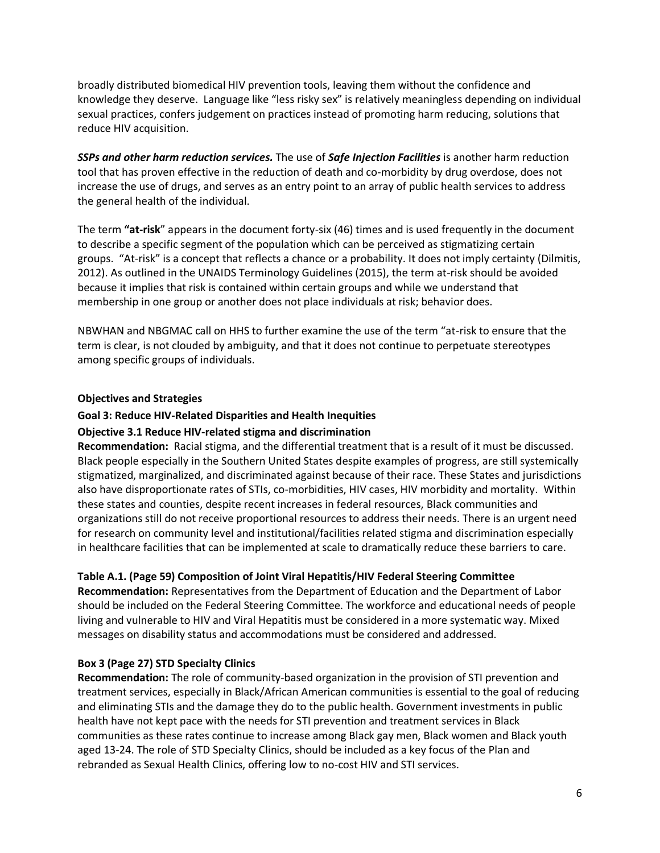broadly distributed biomedical HIV prevention tools, leaving them without the confidence and knowledge they deserve. Language like "less risky sex" is relatively meaningless depending on individual sexual practices, confers judgement on practices instead of promoting harm reducing, solutions that reduce HIV acquisition.

*SSPs and other harm reduction services.* The use of *Safe Injection Facilities* is another harm reduction tool that has proven effective in the reduction of death and co-morbidity by drug overdose, does not increase the use of drugs, and serves as an entry point to an array of public health services to address the general health of the individual.

The term **"at-risk**" appears in the document forty-six (46) times and is used frequently in the document to describe a specific segment of the population which can be perceived as stigmatizing certain groups. "At-risk" is a concept that reflects a chance or a probability. It does not imply certainty (Dilmitis, 2012). As outlined in the UNAIDS Terminology Guidelines (2015), the term at-risk should be avoided because it implies that risk is contained within certain groups and while we understand that membership in one group or another does not place individuals at risk; behavior does.

NBWHAN and NBGMAC call on HHS to further examine the use of the term "at-risk to ensure that the term is clear, is not clouded by ambiguity, and that it does not continue to perpetuate stereotypes among specific groups of individuals.

### **Objectives and Strategies**

## **Goal 3: Reduce HIV-Related Disparities and Health Inequities**

### **Objective 3.1 Reduce HIV-related stigma and discrimination**

**Recommendation:** Racial stigma, and the differential treatment that is a result of it must be discussed. Black people especially in the Southern United States despite examples of progress, are still systemically stigmatized, marginalized, and discriminated against because of their race. These States and jurisdictions also have disproportionate rates of STIs, co-morbidities, HIV cases, HIV morbidity and mortality. Within these states and counties, despite recent increases in federal resources, Black communities and organizations still do not receive proportional resources to address their needs. There is an urgent need for research on community level and institutional/facilities related stigma and discrimination especially in healthcare facilities that can be implemented at scale to dramatically reduce these barriers to care.

### **Table A.1. (Page 59) Composition of Joint Viral Hepatitis/HIV Federal Steering Committee**

**Recommendation:** Representatives from the Department of Education and the Department of Labor should be included on the Federal Steering Committee. The workforce and educational needs of people living and vulnerable to HIV and Viral Hepatitis must be considered in a more systematic way. Mixed messages on disability status and accommodations must be considered and addressed.

### **Box 3 (Page 27) STD Specialty Clinics**

**Recommendation:** The role of community-based organization in the provision of STI prevention and treatment services, especially in Black/African American communities is essential to the goal of reducing and eliminating STIs and the damage they do to the public health. Government investments in public health have not kept pace with the needs for STI prevention and treatment services in Black communities as these rates continue to increase among Black gay men, Black women and Black youth aged 13-24. The role of STD Specialty Clinics, should be included as a key focus of the Plan and rebranded as Sexual Health Clinics, offering low to no-cost HIV and STI services.